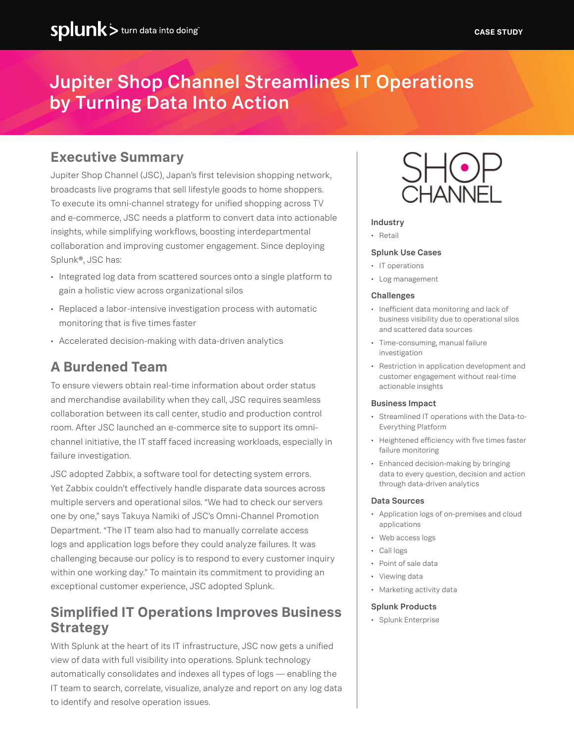# Jupiter Shop Channel Streamlines IT Operations by Turning Data Into Action

# **Executive Summary**

Jupiter Shop Channel (JSC), Japan's first television shopping network, broadcasts live programs that sell lifestyle goods to home shoppers. To execute its omni-channel strategy for unified shopping across TV and e-commerce, JSC needs a platform to convert data into actionable insights, while simplifying workflows, boosting interdepartmental collaboration and improving customer engagement. Since deploying Splunk®, JSC has:

- Integrated log data from scattered sources onto a single platform to gain a holistic view across organizational silos
- Replaced a labor-intensive investigation process with automatic monitoring that is five times faster
- Accelerated decision-making with data-driven analytics

# **A Burdened Team**

To ensure viewers obtain real-time information about order status and merchandise availability when they call, JSC requires seamless collaboration between its call center, studio and production control room. After JSC launched an e-commerce site to support its omnichannel initiative, the IT staff faced increasing workloads, especially in failure investigation.

JSC adopted Zabbix, a software tool for detecting system errors. Yet Zabbix couldn't effectively handle disparate data sources across multiple servers and operational silos. "We had to check our servers one by one," says Takuya Namiki of JSC's Omni-Channel Promotion Department. "The IT team also had to manually correlate access logs and application logs before they could analyze failures. It was challenging because our policy is to respond to every customer inquiry within one working day." To maintain its commitment to providing an exceptional customer experience, JSC adopted Splunk.

# **Simplified IT Operations Improves Business Strategy**

With Splunk at the heart of its IT infrastructure, JSC now gets a unified view of data with full visibility into operations. Splunk technology automatically consolidates and indexes all types of logs — enabling the IT team to search, correlate, visualize, analyze and report on any log data to identify and resolve operation issues.



#### Industry

• Retail

#### Splunk Use Cases

- IT operations
- Log management

#### **Challenges**

- Inefficient data monitoring and lack of business visibility due to operational silos and scattered data sources
- Time-consuming, manual failure investigation
- Restriction in application development and customer engagement without real-time actionable insights

#### Business Impact

- Streamlined IT operations with the Data-to-Everything Platform
- Heightened efficiency with five times faster failure monitoring
- Enhanced decision-making by bringing data to every question, decision and action through data-driven analytics

#### Data Sources

- Application logs of on-premises and cloud applications
- Web access logs
- Call logs
- Point of sale data
- Viewing data
- Marketing activity data

#### Splunk Products

• Splunk Enterprise